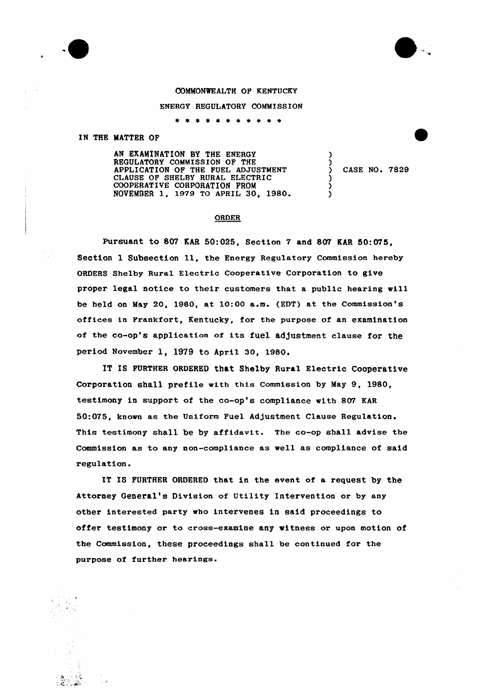



## COMMONWEALTH OF KENTUCKY

## ENERGY REGULATORY COMMISSION

\* \* \* \* \* \* \* \*

## IN THE MATTER OF

AN EXAMINATION BY THE ENERGY REGULATORY COMMISSION OF THE APPLICATION OF THE FUEL ADJUSTMENT CI AUSE OF SHELBY RURAL ELECTRIC COOPERAT IVE CORPORAT ION FROM NOVEMBER 1, 1979 TO APRIL 30, 1980

) CASE NO. 7829

) ز<br>(

) <u>ز</u> )

## ORDER

Pursuant to 807 EAR 50:025, Section 7 and 807 EAR 50:075, Section 1 Subsection 11, the Energy Regulatory Commission hereby ORDERS Shelby Rural Electric Cooperative Corporation to give proper legal notice to their customers that a public hearing vill be held on May 20, 1980, at  $10:00$  a.m. (EDT) at the Commission's offices in Frankfort, Kentucky, for the purpose of an examination of the co-op's application of its fuel adjustment clause for the period November 1, 1979 to April 30, 1980.

IT IS FURTHER ORDERED that Shelby Rural Electric Cooperative Corporation shall prefile with this Commission by May 9, 1980, testimony in support of the co-op's compliance with 807 KAR 50:075, known as the Uniform Fuel Adjustment Clause Regulation. This testimony shall be by affidavit. The co-op shall advise the Commission as to any non-compliance as well as compliance of said regulation.

IT IS FURTHER ORDERED that in the event of a request by the Attorney General's Division of Utility Intervention or by any other interested party who intervenes in said proceedings to offer testimony or to cross-examine any witness or upon motion of the Commission, these proceedings shall be continued for the purpose of further hearings.